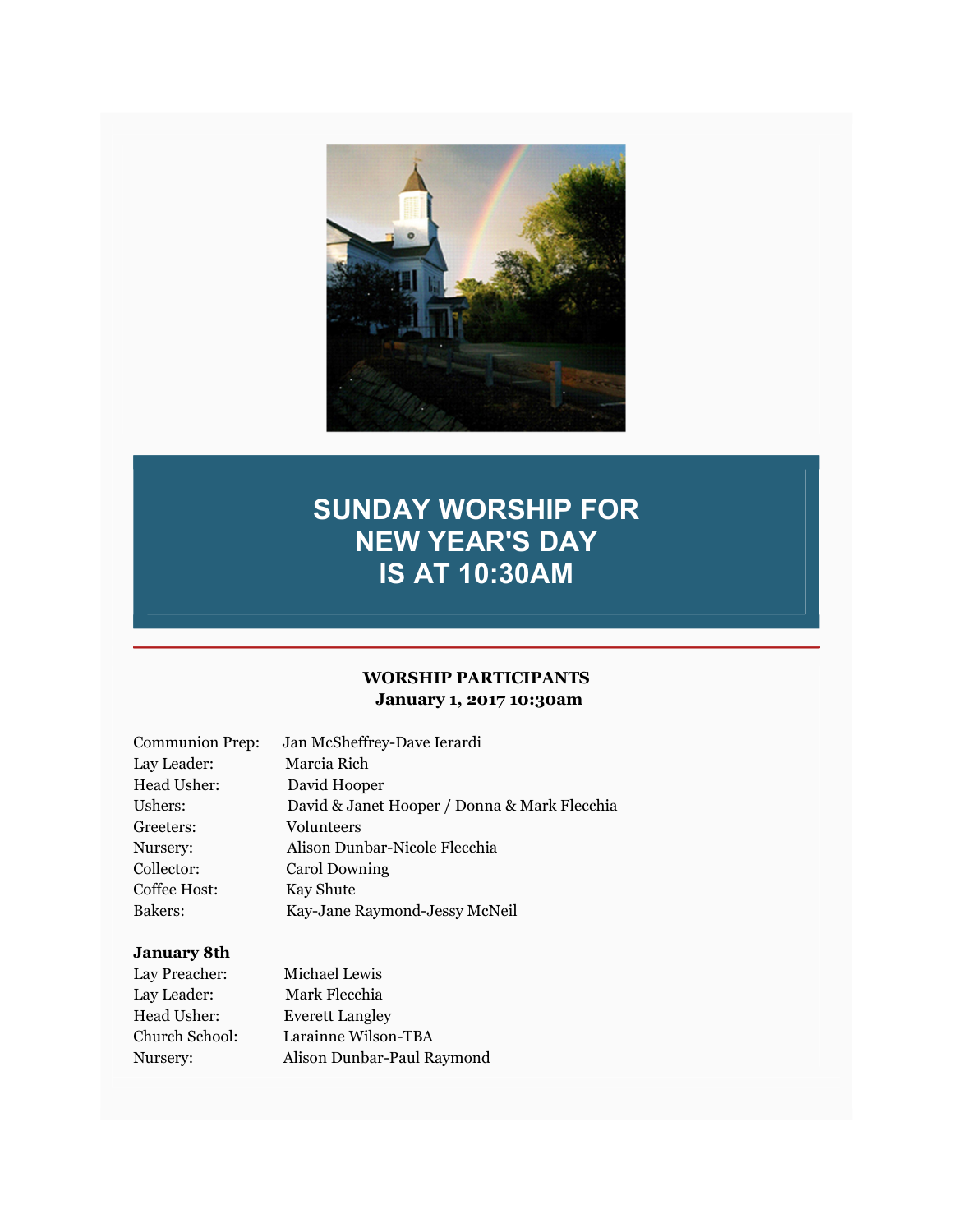

# SUNDAY WORSHIP FOR NEW YEAR'S DAY IS AT 10:30AM

#### WORSHIP PARTICIPANTS January 1, 2017 10:30am

| <b>Communion Prep:</b> | Jan McSheffrey-Dave Ierardi                  |
|------------------------|----------------------------------------------|
| Lay Leader:            | Marcia Rich                                  |
| Head Usher:            | David Hooper                                 |
| Ushers:                | David & Janet Hooper / Donna & Mark Flecchia |
| Greeters:              | Volunteers                                   |
| Nursery:               | Alison Dunbar-Nicole Flecchia                |
| Collector:             | Carol Downing                                |
| Coffee Host:           | Kay Shute                                    |
| Bakers:                | Kay-Jane Raymond-Jessy McNeil                |

## January 8th

| Lay Preacher:  | Michael Lewis              |
|----------------|----------------------------|
| Lay Leader:    | Mark Flecchia              |
| Head Usher:    | <b>Everett Langley</b>     |
| Church School: | Larainne Wilson-TBA        |
| Nursery:       | Alison Dunbar-Paul Raymond |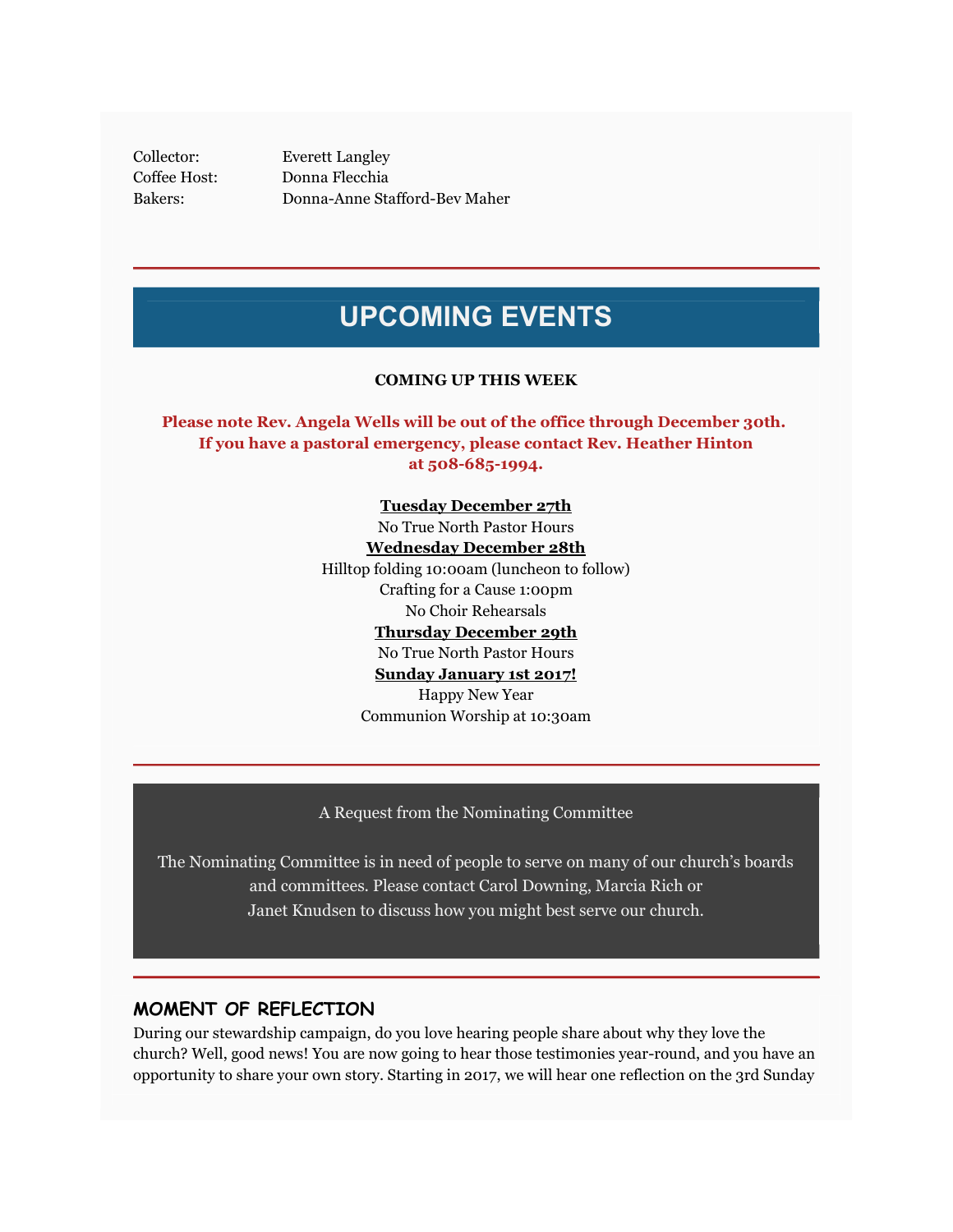Collector: Everett Langley Coffee Host: Donna Flecchia Bakers: Donna-Anne Stafford-Bev Maher

## UPCOMING EVENTS

#### COMING UP THIS WEEK

Please note Rev. Angela Wells will be out of the office through December 30th. If you have a pastoral emergency, please contact Rev. Heather Hinton at 508-685-1994.

> Tuesday December 27th No True North Pastor Hours Wednesday December 28th Hilltop folding 10:00am (luncheon to follow) Crafting for a Cause 1:00pm No Choir Rehearsals Thursday December 29th No True North Pastor Hours Sunday January 1st 2017! Happy New Year Communion Worship at 10:30am

A Request from the Nominating Committee

The Nominating Committee is in need of people to serve on many of our church's boards and committees. Please contact Carol Downing, Marcia Rich or Janet Knudsen to discuss how you might best serve our church.

#### MOMENT OF REFLECTION

During our stewardship campaign, do you love hearing people share about why they love the church? Well, good news! You are now going to hear those testimonies year-round, and you have an opportunity to share your own story. Starting in 2017, we will hear one reflection on the 3rd Sunday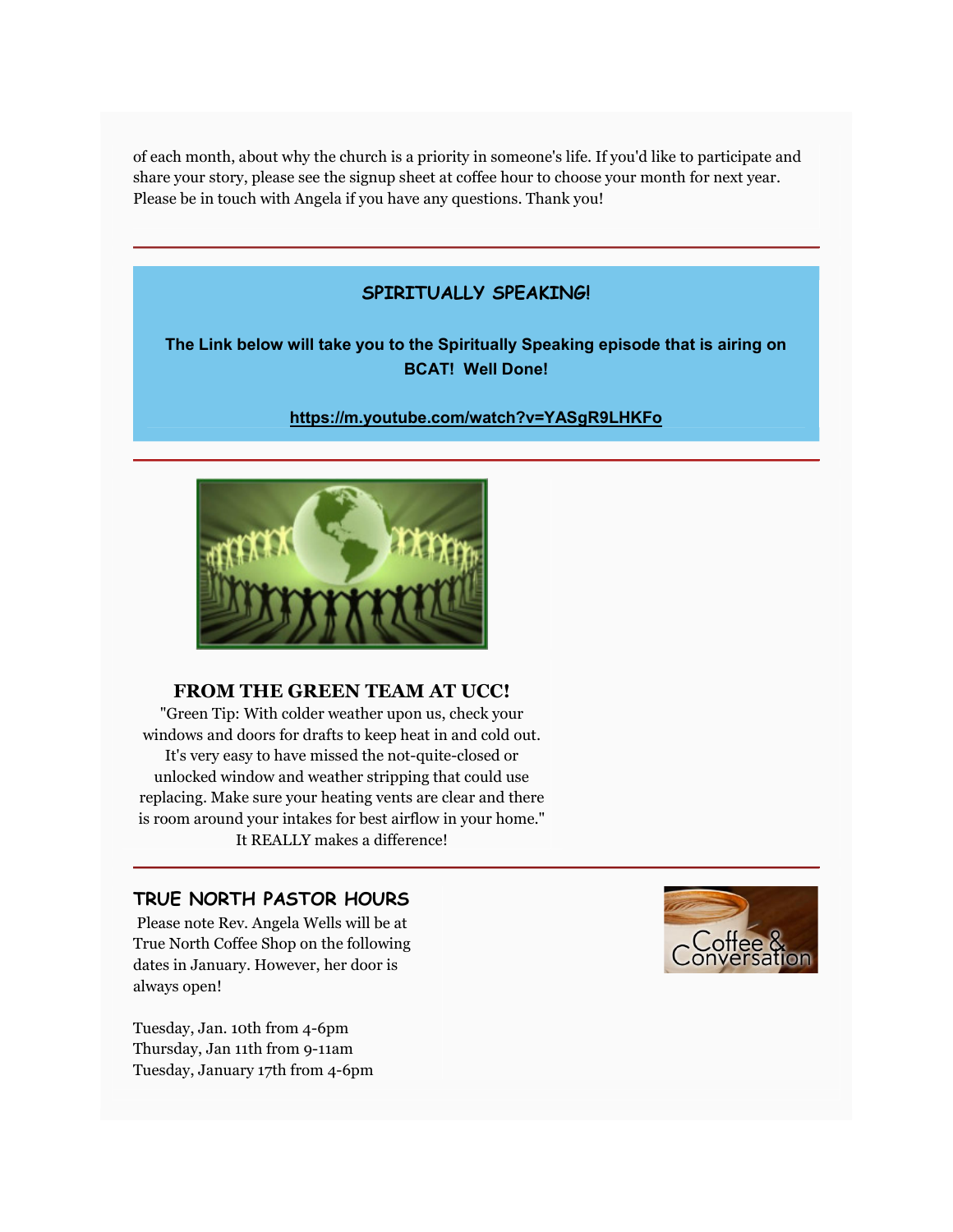of each month, about why the church is a priority in someone's life. If you'd like to participate and share your story, please see the signup sheet at coffee hour to choose your month for next year. Please be in touch with Angela if you have any questions. Thank you!

### SPIRITUALLY SPEAKING!

#### The Link below will take you to the Spiritually Speaking episode that is airing on BCAT! Well Done!

https://m.youtube.com/watch?v=YASgR9LHKFo



#### FROM THE GREEN TEAM AT UCC!

"Green Tip: With colder weather upon us, check your windows and doors for drafts to keep heat in and cold out. It's very easy to have missed the not-quite-closed or unlocked window and weather stripping that could use replacing. Make sure your heating vents are clear and there is room around your intakes for best airflow in your home." It REALLY makes a difference!

### TRUE NORTH PASTOR HOURS

 Please note Rev. Angela Wells will be at True North Coffee Shop on the following dates in January. However, her door is always open!

Tuesday, Jan. 10th from 4-6pm Thursday, Jan 11th from 9-11am Tuesday, January 17th from 4-6pm

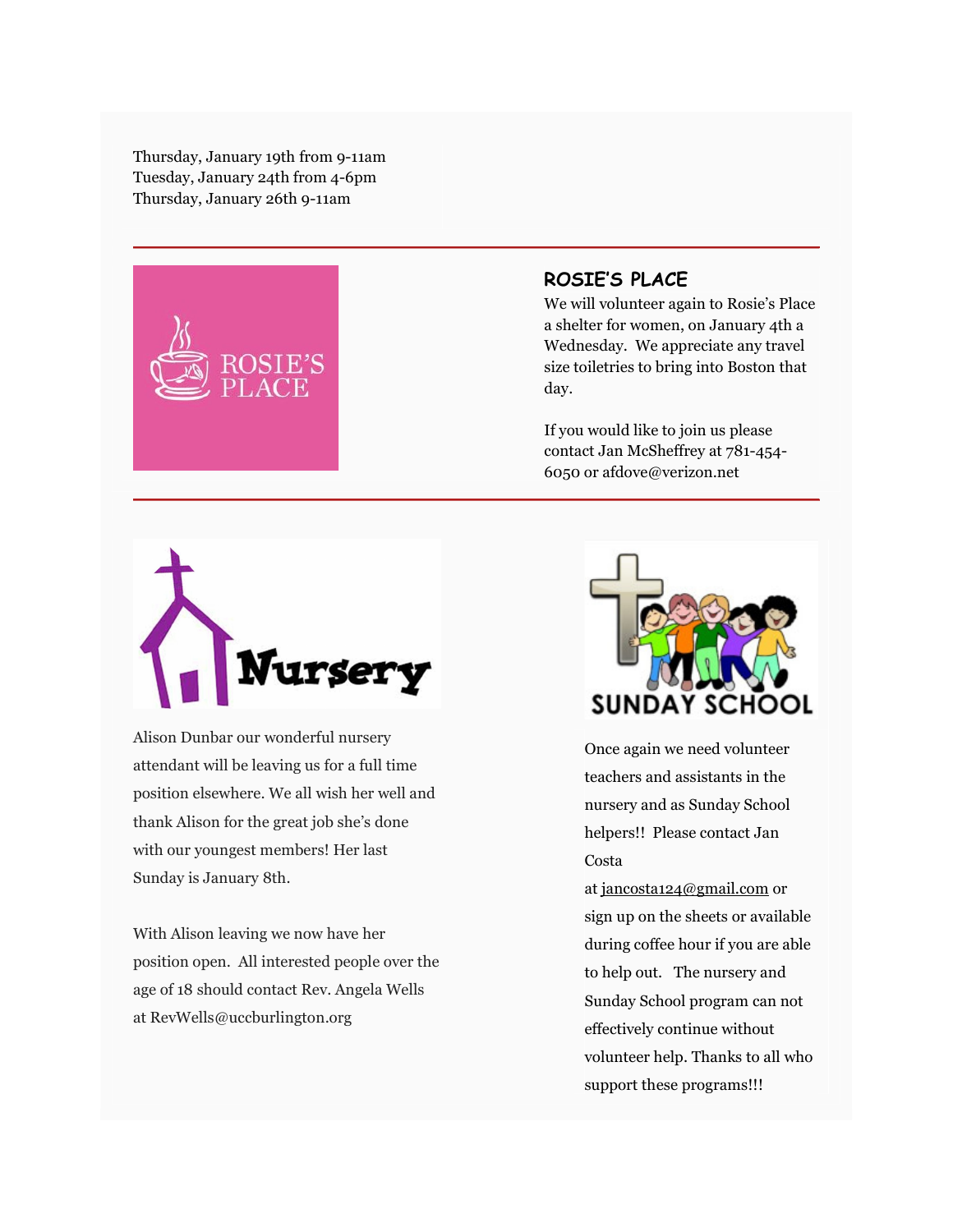Thursday, January 19th from 9-11am Tuesday, January 24th from 4-6pm Thursday, January 26th 9-11am



### ROSIE'S PLACE

We will volunteer again to Rosie's Place a shelter for women, on January 4th a Wednesday. We appreciate any travel size toiletries to bring into Boston that day.

If you would like to join us please contact Jan McSheffrey at 781-454- 6050 or afdove@verizon.net



Alison Dunbar our wonderful nursery attendant will be leaving us for a full time position elsewhere. We all wish her well and thank Alison for the great job she's done with our youngest members! Her last Sunday is January 8th.

With Alison leaving we now have her position open. All interested people over the age of 18 should contact Rev. Angela Wells at RevWells@uccburlington.org



Once again we need volunteer teachers and assistants in the nursery and as Sunday School helpers!! Please contact Jan Costa

at jancosta124@gmail.com or sign up on the sheets or available during coffee hour if you are able to help out. The nursery and Sunday School program can not effectively continue without volunteer help. Thanks to all who support these programs!!!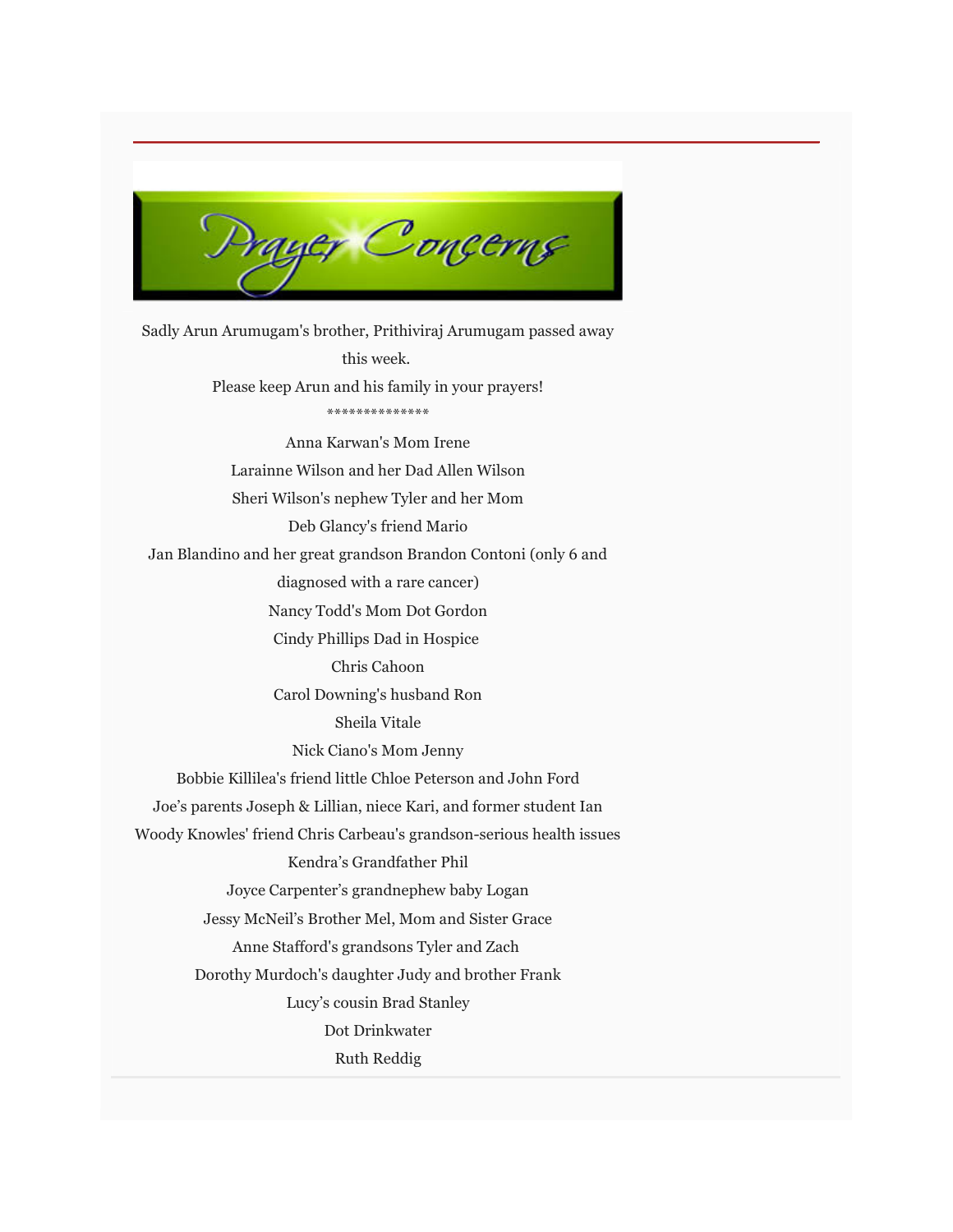

Sadly Arun Arumugam's brother, Prithiviraj Arumugam passed away this week. Please keep Arun and his family in your prayers! \*\*\*\*\*\*\*\*\*\*\*\*\*\* Anna Karwan's Mom Irene Larainne Wilson and her Dad Allen Wilson Sheri Wilson's nephew Tyler and her Mom Deb Glancy's friend Mario Jan Blandino and her great grandson Brandon Contoni (only 6 and diagnosed with a rare cancer) Nancy Todd's Mom Dot Gordon Cindy Phillips Dad in Hospice Chris Cahoon Carol Downing's husband Ron Sheila Vitale Nick Ciano's Mom Jenny Bobbie Killilea's friend little Chloe Peterson and John Ford Joe's parents Joseph & Lillian, niece Kari, and former student Ian Woody Knowles' friend Chris Carbeau's grandson-serious health issues Kendra's Grandfather Phil Joyce Carpenter's grandnephew baby Logan Jessy McNeil's Brother Mel, Mom and Sister Grace Anne Stafford's grandsons Tyler and Zach Dorothy Murdoch's daughter Judy and brother Frank Lucy's cousin Brad Stanley Dot Drinkwater Ruth Reddig